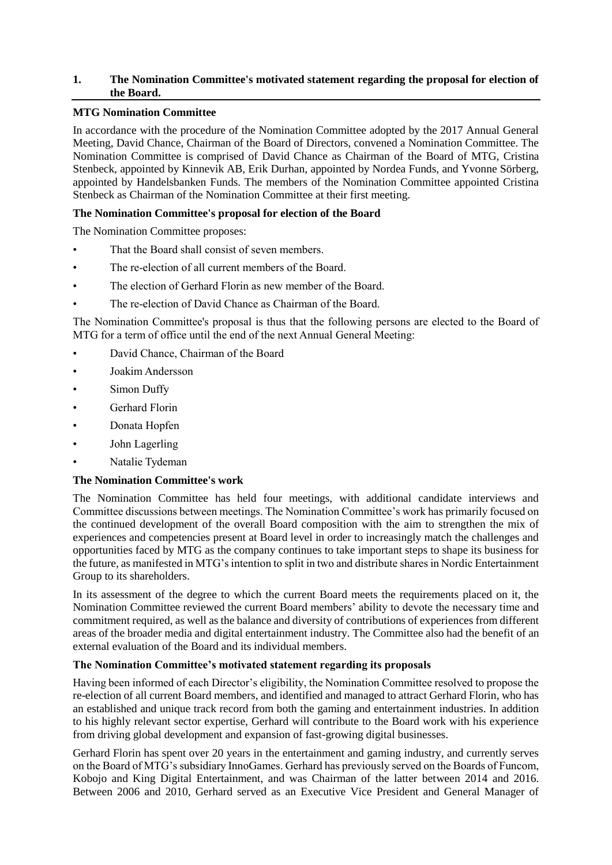# **1. The Nomination Committee's motivated statement regarding the proposal for election of the Board.**

# **MTG Nomination Committee**

In accordance with the procedure of the Nomination Committee adopted by the 2017 Annual General Meeting, David Chance, Chairman of the Board of Directors, convened a Nomination Committee. The Nomination Committee is comprised of David Chance as Chairman of the Board of MTG, Cristina Stenbeck, appointed by Kinnevik AB, Erik Durhan, appointed by Nordea Funds, and Yvonne Sörberg, appointed by Handelsbanken Funds. The members of the Nomination Committee appointed Cristina Stenbeck as Chairman of the Nomination Committee at their first meeting.

# **The Nomination Committee's proposal for election of the Board**

The Nomination Committee proposes:

- That the Board shall consist of seven members.
- The re-election of all current members of the Board.
- The election of Gerhard Florin as new member of the Board.
- The re-election of David Chance as Chairman of the Board.

The Nomination Committee's proposal is thus that the following persons are elected to the Board of MTG for a term of office until the end of the next Annual General Meeting:

- David Chance, Chairman of the Board
- Joakim Andersson
- Simon Duffy
- Gerhard Florin
- Donata Hopfen
- John Lagerling
- Natalie Tydeman

### **The Nomination Committee's work**

The Nomination Committee has held four meetings, with additional candidate interviews and Committee discussions between meetings. The Nomination Committee's work has primarily focused on the continued development of the overall Board composition with the aim to strengthen the mix of experiences and competencies present at Board level in order to increasingly match the challenges and opportunities faced by MTG as the company continues to take important steps to shape its business for the future, as manifested in MTG's intention to split in two and distribute shares in Nordic Entertainment Group to its shareholders.

In its assessment of the degree to which the current Board meets the requirements placed on it, the Nomination Committee reviewed the current Board members' ability to devote the necessary time and commitment required, as well as the balance and diversity of contributions of experiences from different areas of the broader media and digital entertainment industry. The Committee also had the benefit of an external evaluation of the Board and its individual members.

### **The Nomination Committee's motivated statement regarding its proposals**

Having been informed of each Director's eligibility, the Nomination Committee resolved to propose the re-election of all current Board members, and identified and managed to attract Gerhard Florin, who has an established and unique track record from both the gaming and entertainment industries. In addition to his highly relevant sector expertise, Gerhard will contribute to the Board work with his experience from driving global development and expansion of fast-growing digital businesses.

Gerhard Florin has spent over 20 years in the entertainment and gaming industry, and currently serves on the Board of MTG's subsidiary InnoGames. Gerhard has previously served on the Boards of Funcom, Kobojo and King Digital Entertainment, and was Chairman of the latter between 2014 and 2016. Between 2006 and 2010, Gerhard served as an Executive Vice President and General Manager of